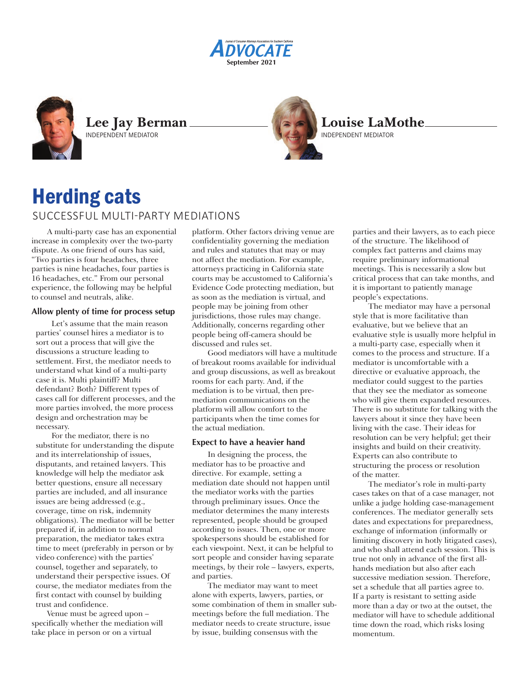**August 2021** rtember 20 **September 2021**



**Lee Jay Berman** INDEPENDENT MEDIATOR



# Herding cats SUCCESSFUL MULTI-PARTY MEDIATIONS

A multi-party case has an exponential increase in complexity over the two-party dispute. As one friend of ours has said, "Two parties is four headaches, three parties is nine headaches, four parties is 16 headaches, etc." From our personal experience, the following may be helpful to counsel and neutrals, alike.

### **Allow plenty of time for process setup**

Let's assume that the main reason parties' counsel hires a mediator is to sort out a process that will give the discussions a structure leading to settlement. First, the mediator needs to understand what kind of a multi-party case it is. Multi plaintiff? Multi defendant? Both? Different types of cases call for different processes, and the more parties involved, the more process design and orchestration may be necessary.

For the mediator, there is no substitute for understanding the dispute and its interrelationship of issues, disputants, and retained lawyers. This knowledge will help the mediator ask better questions, ensure all necessary parties are included, and all insurance issues are being addressed (e.g., coverage, time on risk, indemnity obligations). The mediator will be better prepared if, in addition to normal preparation, the mediator takes extra time to meet (preferably in person or by video conference) with the parties' counsel, together and separately, to understand their perspective issues. Of course, the mediator mediates from the first contact with counsel by building trust and confidence.

Venue must be agreed upon – specifically whether the mediation will take place in person or on a virtual

platform. Other factors driving venue are confidentiality governing the mediation and rules and statutes that may or may not affect the mediation. For example, attorneys practicing in California state courts may be accustomed to California's Evidence Code protecting mediation, but as soon as the mediation is virtual, and people may be joining from other jurisdictions, those rules may change. Additionally, concerns regarding other people being off-camera should be discussed and rules set.

Good mediators will have a multitude of breakout rooms available for individual and group discussions, as well as breakout rooms for each party. And, if the mediation is to be virtual, then premediation communications on the platform will allow comfort to the participants when the time comes for the actual mediation.

# **Expect to have a heavier hand**

In designing the process, the mediator has to be proactive and directive. For example, setting a mediation date should not happen until the mediator works with the parties through preliminary issues. Once the mediator determines the many interests represented, people should be grouped according to issues. Then, one or more spokespersons should be established for each viewpoint. Next, it can be helpful to sort people and consider having separate meetings, by their role – lawyers, experts, and parties.

The mediator may want to meet alone with experts, lawyers, parties, or some combination of them in smaller submeetings before the full mediation. The mediator needs to create structure, issue by issue, building consensus with the

parties and their lawyers, as to each piece of the structure. The likelihood of complex fact patterns and claims may require preliminary informational meetings. This is necessarily a slow but critical process that can take months, and it is important to patiently manage people's expectations.

The mediator may have a personal style that is more facilitative than evaluative, but we believe that an evaluative style is usually more helpful in a multi-party case, especially when it comes to the process and structure. If a mediator is uncomfortable with a directive or evaluative approach, the mediator could suggest to the parties that they see the mediator as someone who will give them expanded resources. There is no substitute for talking with the lawyers about it since they have been living with the case. Their ideas for resolution can be very helpful; get their insights and build on their creativity. Experts can also contribute to structuring the process or resolution of the matter.

The mediator's role in multi-party cases takes on that of a case manager, not unlike a judge holding case-management conferences. The mediator generally sets dates and expectations for preparedness, exchange of information (informally or limiting discovery in hotly litigated cases), and who shall attend each session. This is true not only in advance of the first allhands mediation but also after each successive mediation session. Therefore, set a schedule that all parties agree to. If a party is resistant to setting aside more than a day or two at the outset, the mediator will have to schedule additional time down the road, which risks losing momentum.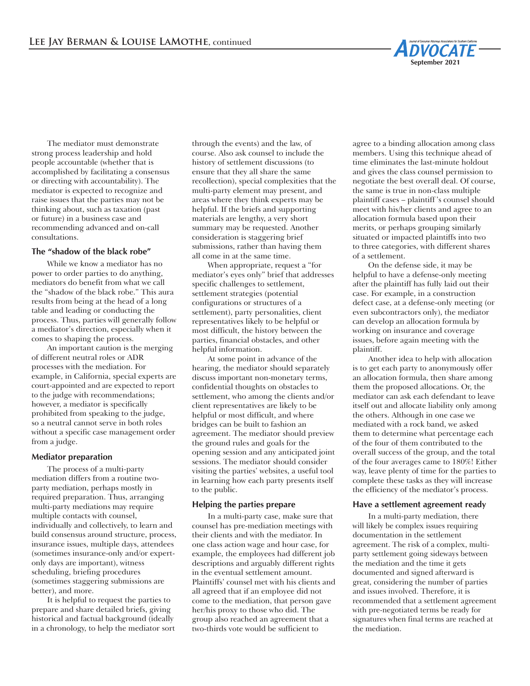

The mediator must demonstrate strong process leadership and hold people accountable (whether that is accomplished by facilitating a consensus or directing with accountability). The mediator is expected to recognize and raise issues that the parties may not be thinking about, such as taxation (past or future) in a business case and recommending advanced and on-call consultations.

#### **The "shadow of the black robe"**

While we know a mediator has no power to order parties to do anything, mediators do benefit from what we call the "shadow of the black robe." This aura results from being at the head of a long table and leading or conducting the process. Thus, parties will generally follow a mediator's direction, especially when it comes to shaping the process.

An important caution is the merging of different neutral roles or ADR processes with the mediation. For example, in California, special experts are court-appointed and are expected to report to the judge with recommendations; however, a mediator is specifically prohibited from speaking to the judge, so a neutral cannot serve in both roles without a specific case management order from a judge.

#### **Mediator preparation**

The process of a multi-party mediation differs from a routine twoparty mediation, perhaps mostly in required preparation. Thus, arranging multi-party mediations may require multiple contacts with counsel, individually and collectively, to learn and build consensus around structure, process, insurance issues, multiple days, attendees (sometimes insurance-only and/or expertonly days are important), witness scheduling, briefing procedures (sometimes staggering submissions are better), and more.

It is helpful to request the parties to prepare and share detailed briefs, giving historical and factual background (ideally in a chronology, to help the mediator sort

through the events) and the law, of course. Also ask counsel to include the history of settlement discussions (to ensure that they all share the same recollection), special complexities that the multi-party element may present, and areas where they think experts may be helpful. If the briefs and supporting materials are lengthy, a very short summary may be requested. Another consideration is staggering brief submissions, rather than having them all come in at the same time.

When appropriate, request a "for mediator's eyes only" brief that addresses specific challenges to settlement, settlement strategies (potential configurations or structures of a settlement), party personalities, client representatives likely to be helpful or most difficult, the history between the parties, financial obstacles, and other helpful information.

At some point in advance of the hearing, the mediator should separately discuss important non-monetary terms, confidential thoughts on obstacles to settlement, who among the clients and/or client representatives are likely to be helpful or most difficult, and where bridges can be built to fashion an agreement. The mediator should preview the ground rules and goals for the opening session and any anticipated joint sessions. The mediator should consider visiting the parties' websites, a useful tool in learning how each party presents itself to the public.

#### **Helping the parties prepare**

In a multi-party case, make sure that counsel has pre-mediation meetings with their clients and with the mediator. In one class action wage and hour case, for example, the employees had different job descriptions and arguably different rights in the eventual settlement amount. Plaintiffs' counsel met with his clients and all agreed that if an employee did not come to the mediation, that person gave her/his proxy to those who did. The group also reached an agreement that a two-thirds vote would be sufficient to

agree to a binding allocation among class members. Using this technique ahead of time eliminates the last-minute holdout and gives the class counsel permission to negotiate the best overall deal. Of course, the same is true in non-class multiple plaintiff cases – plaintiff 's counsel should meet with his/her clients and agree to an allocation formula based upon their merits, or perhaps grouping similarly situated or impacted plaintiffs into two to three categories, with different shares of a settlement.

On the defense side, it may be helpful to have a defense-only meeting after the plaintiff has fully laid out their case. For example, in a construction defect case, at a defense-only meeting (or even subcontractors only), the mediator can develop an allocation formula by working on insurance and coverage issues, before again meeting with the plaintiff.

Another idea to help with allocation is to get each party to anonymously offer an allocation formula, then share among them the proposed allocations. Or, the mediator can ask each defendant to leave itself out and allocate liability only among the others. Although in one case we mediated with a rock band, we asked them to determine what percentage each of the four of them contributed to the overall success of the group, and the total of the four averages came to 180%! Either way, leave plenty of time for the parties to complete these tasks as they will increase the efficiency of the mediator's process.

#### **Have a settlement agreement ready**

In a multi-party mediation, there will likely be complex issues requiring documentation in the settlement agreement. The risk of a complex, multiparty settlement going sideways between the mediation and the time it gets documented and signed afterward is great, considering the number of parties and issues involved. Therefore, it is recommended that a settlement agreement with pre-negotiated terms be ready for signatures when final terms are reached at the mediation.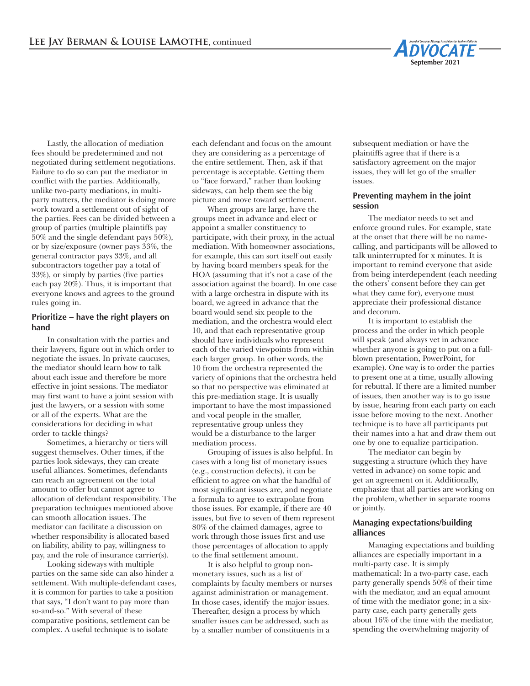

Lastly, the allocation of mediation fees should be predetermined and not negotiated during settlement negotiations. Failure to do so can put the mediator in conflict with the parties. Additionally, unlike two-party mediations, in multiparty matters, the mediator is doing more work toward a settlement out of sight of the parties. Fees can be divided between a group of parties (multiple plaintiffs pay 50% and the single defendant pays 50%), or by size/exposure (owner pays 33%, the general contractor pays 33%, and all subcontractors together pay a total of 33%), or simply by parties (five parties each pay 20%). Thus, it is important that everyone knows and agrees to the ground rules going in.

### **Prioritize – have the right players on hand**

In consultation with the parties and their lawyers, figure out in which order to negotiate the issues. In private caucuses, the mediator should learn how to talk about each issue and therefore be more effective in joint sessions. The mediator may first want to have a joint session with just the lawyers, or a session with some or all of the experts. What are the considerations for deciding in what order to tackle things?

Sometimes, a hierarchy or tiers will suggest themselves. Other times, if the parties look sideways, they can create useful alliances. Sometimes, defendants can reach an agreement on the total amount to offer but cannot agree to allocation of defendant responsibility. The preparation techniques mentioned above can smooth allocation issues. The mediator can facilitate a discussion on whether responsibility is allocated based on liability, ability to pay, willingness to pay, and the role of insurance carrier(s).

Looking sideways with multiple parties on the same side can also hinder a settlement. With multiple-defendant cases, it is common for parties to take a position that says, "I don't want to pay more than so-and-so." With several of these comparative positions, settlement can be complex. A useful technique is to isolate

each defendant and focus on the amount they are considering as a percentage of the entire settlement. Then, ask if that percentage is acceptable. Getting them to "face forward," rather than looking sideways, can help them see the big picture and move toward settlement.

When groups are large, have the groups meet in advance and elect or appoint a smaller constituency to participate, with their proxy, in the actual mediation. With homeowner associations, for example, this can sort itself out easily by having board members speak for the HOA (assuming that it's not a case of the association against the board). In one case with a large orchestra in dispute with its board, we agreed in advance that the board would send six people to the mediation, and the orchestra would elect 10, and that each representative group should have individuals who represent each of the varied viewpoints from within each larger group. In other words, the 10 from the orchestra represented the variety of opinions that the orchestra held so that no perspective was eliminated at this pre-mediation stage. It is usually important to have the most impassioned and vocal people in the smaller, representative group unless they would be a disturbance to the larger mediation process.

Grouping of issues is also helpful. In cases with a long list of monetary issues (e.g., construction defects), it can be efficient to agree on what the handful of most significant issues are, and negotiate a formula to agree to extrapolate from those issues. For example, if there are 40 issues, but five to seven of them represent 80% of the claimed damages, agree to work through those issues first and use those percentages of allocation to apply to the final settlement amount.

It is also helpful to group nonmonetary issues, such as a list of complaints by faculty members or nurses against administration or management. In those cases, identify the major issues. Thereafter, design a process by which smaller issues can be addressed, such as by a smaller number of constituents in a

subsequent mediation or have the plaintiffs agree that if there is a satisfactory agreement on the major issues, they will let go of the smaller issues.

#### **Preventing mayhem in the joint session**

The mediator needs to set and enforce ground rules. For example, state at the onset that there will be no namecalling, and participants will be allowed to talk uninterrupted for x minutes. It is important to remind everyone that aside from being interdependent (each needing the others' consent before they can get what they came for), everyone must appreciate their professional distance and decorum.

It is important to establish the process and the order in which people will speak (and always vet in advance whether anyone is going to put on a fullblown presentation, PowerPoint, for example). One way is to order the parties to present one at a time, usually allowing for rebuttal. If there are a limited number of issues, then another way is to go issue by issue, hearing from each party on each issue before moving to the next. Another technique is to have all participants put their names into a hat and draw them out one by one to equalize participation.

The mediator can begin by suggesting a structure (which they have vetted in advance) on some topic and get an agreement on it. Additionally, emphasize that all parties are working on the problem, whether in separate rooms or jointly.

#### **Managing expectations/building alliances**

Managing expectations and building alliances are especially important in a multi-party case. It is simply mathematical: In a two-party case, each party generally spends 50% of their time with the mediator, and an equal amount of time with the mediator gone; in a sixparty case, each party generally gets about 16% of the time with the mediator, spending the overwhelming majority of